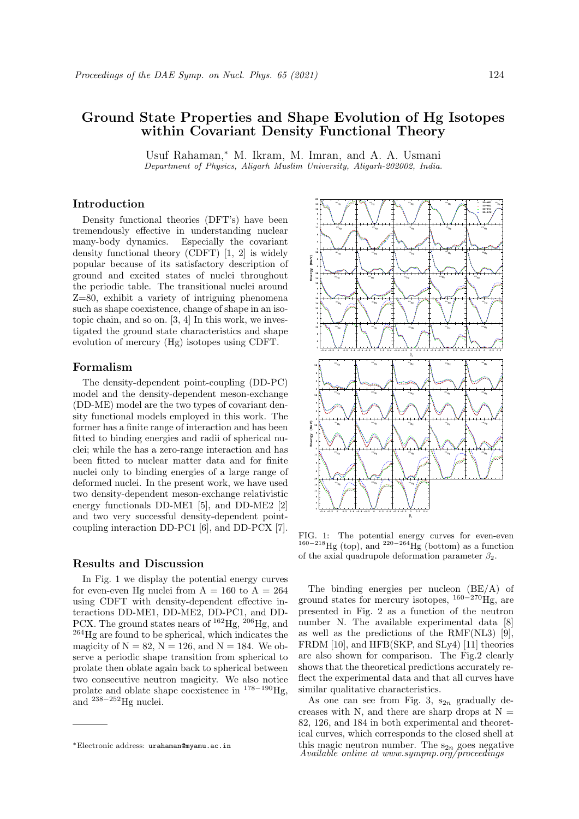# Ground State Properties and Shape Evolution of Hg Isotopes within Covariant Density Functional Theory

Usuf Rahaman,<sup>∗</sup> M. Ikram, M. Imran, and A. A. Usmani Department of Physics, Aligarh Muslim University, Aligarh-202002, India.

## Introduction

Density functional theories (DFT's) have been tremendously effective in understanding nuclear many-body dynamics. Especially the covariant density functional theory (CDFT) [1, 2] is widely popular because of its satisfactory description of ground and excited states of nuclei throughout the periodic table. The transitional nuclei around Z=80, exhibit a variety of intriguing phenomena such as shape coexistence, change of shape in an isotopic chain, and so on. [3, 4] In this work, we investigated the ground state characteristics and shape evolution of mercury (Hg) isotopes using CDFT.

## Formalism

The density-dependent point-coupling (DD-PC) model and the density-dependent meson-exchange (DD-ME) model are the two types of covariant density functional models employed in this work. The former has a finite range of interaction and has been fitted to binding energies and radii of spherical nuclei; while the has a zero-range interaction and has been fitted to nuclear matter data and for finite nuclei only to binding energies of a large range of deformed nuclei. In the present work, we have used two density-dependent meson-exchange relativistic energy functionals DD-ME1 [5], and DD-ME2 [2] and two very successful density-dependent pointcoupling interaction DD-PC1 [6], and DD-PCX [7].

#### Results and Discussion

In Fig. 1 we display the potential energy curves for even-even Hg nuclei from  $A = 160$  to  $A = 264$ using CDFT with density-dependent effective interactions DD-ME1, DD-ME2, DD-PC1, and DD-PCX. The ground states nears of  $^{162}$ Hg,  $^{206}$ Hg, and <sup>264</sup>Hg are found to be spherical, which indicates the magicity of  $N = 82$ ,  $N = 126$ , and  $N = 184$ . We observe a periodic shape transition from spherical to prolate then oblate again back to spherical between two consecutive neutron magicity. We also notice prolate and oblate shape coexistence in <sup>178</sup>−<sup>190</sup>Hg, and  $238-252$  Hg nuclei.



FIG. 1: The potential energy curves for even-even  $160-218$ Hg (top), and  $220-264$ Hg (bottom) as a function of the axial quadrupole deformation parameter  $\beta_2$ .

The binding energies per nucleon (BE/A) of ground states for mercury isotopes,  $160-270$ Hg, are presented in Fig. 2 as a function of the neutron number N. The available experimental data [8] as well as the predictions of the RMF(NL3) [9], FRDM [10], and HFB(SKP, and SLy4) [11] theories are also shown for comparison. The Fig.2 clearly shows that the theoretical predictions accurately reflect the experimental data and that all curves have similar qualitative characteristics.

As one can see from Fig. 3,  $s_{2n}$  gradually decreases with N, and there are sharp drops at  $N =$ 82, 126, and 184 in both experimental and theoretical curves, which corresponds to the closed shell at this magic neutron number. The  $s_{2n}$  goes negative *Available online at www.sympnp.org/proceedings* 

<sup>∗</sup>Electronic address: urahaman@myamu.ac.in